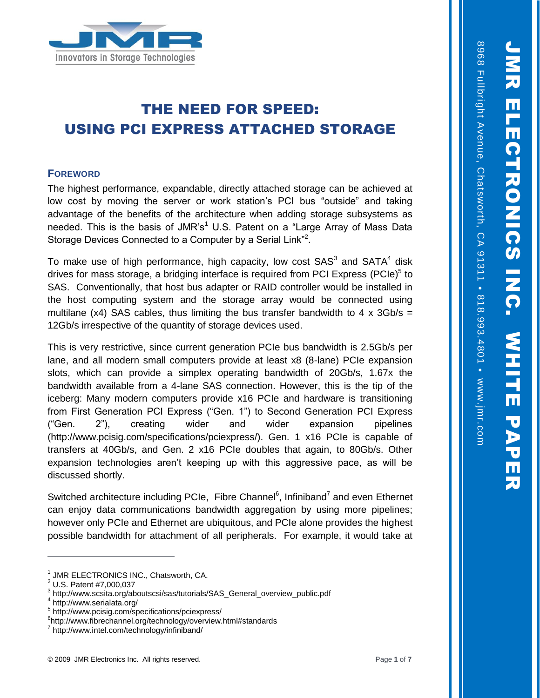8968 Fullbright Avenue, Chatsworth, CA 91311

ō

818.993.4801

c

www.jmr.com



# THE NEED FOR SPEED: USING PCI EXPRESS ATTACHED STORAGE

## **FOREWORD**

The highest performance, expandable, directly attached storage can be achieved at low cost by moving the server or work station's PCI bus "outside" and taking advantage of the benefits of the architecture when adding storage subsystems as needed. This is the basis of JMR's<sup>1</sup> U.S. Patent on a "Large Array of Mass Data Storage Devices Connected to a Computer by a Serial Link"<sup>2</sup>.

To make use of high performance, high capacity, low cost  $SAS<sup>3</sup>$  and  $SATA<sup>4</sup>$  disk drives for mass storage, a bridging interface is required from PCI Express (PCIe)<sup>5</sup> to SAS. Conventionally, that host bus adapter or RAID controller would be installed in the host computing system and the storage array would be connected using multilane (x4) SAS cables, thus limiting the bus transfer bandwidth to 4 x 3Gb/s = 12Gb/s irrespective of the quantity of storage devices used.

This is very restrictive, since current generation PCIe bus bandwidth is 2.5Gb/s per lane, and all modern small computers provide at least x8 (8-lane) PCIe expansion slots, which can provide a simplex operating bandwidth of 20Gb/s, 1.67x the bandwidth available from a 4-lane SAS connection. However, this is the tip of the iceberg: Many modern computers provide x16 PCIe and hardware is transitioning from First Generation PCI Express ("Gen. 1") to Second Generation PCI Express ("Gen. 2"), creating wider and wider expansion pipelines (http://www.pcisig.com/specifications/pciexpress/). Gen. 1 x16 PCIe is capable of transfers at 40Gb/s, and Gen. 2 x16 PCIe doubles that again, to 80Gb/s. Other expansion technologies aren't keeping up with this aggressive pace, as will be discussed shortly.

Switched architecture including PCIe, Fibre Channel<sup>6</sup>, Infiniband<sup>7</sup> and even Ethernet can enjoy data communications bandwidth aggregation by using more pipelines; however only PCIe and Ethernet are ubiquitous, and PCIe alone provides the highest possible bandwidth for attachment of all peripherals. For example, it would take at

<sup>1</sup> JMR ELECTRONICS INC., Chatsworth, CA.

<sup>2</sup> U.S. Patent #7,000,037

<sup>&</sup>lt;sup>3</sup> http://www.scsita.org/aboutscsi/sas/tutorials/SAS\_General\_overview\_public.pdf

<sup>4</sup> http://www.serialata.org/

<sup>5</sup> http://www.pcisig.com/specifications/pciexpress/

<sup>6</sup> http://www.fibrechannel.org/technology/overview.html#standards

<sup>7</sup> http://www.intel.com/technology/infiniband/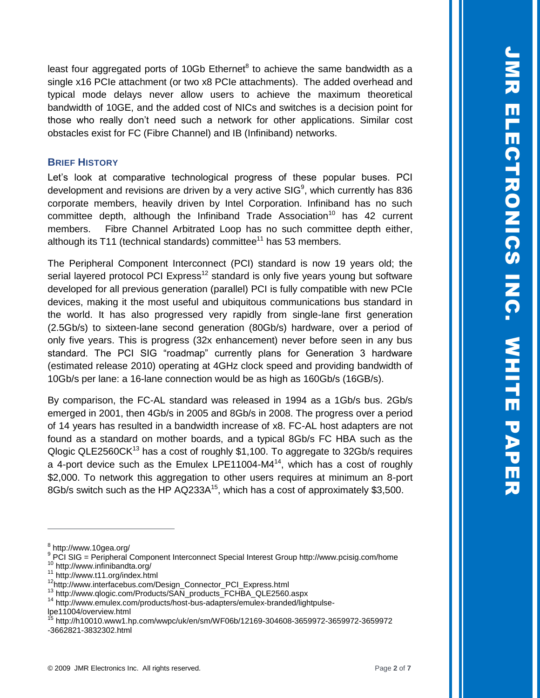least four aggregated ports of 10Gb Ethernet $8$  to achieve the same bandwidth as a single x16 PCIe attachment (or two x8 PCIe attachments). The added overhead and typical mode delays never allow users to achieve the maximum theoretical bandwidth of 10GE, and the added cost of NICs and switches is a decision point for those who really don't need such a network for other applications. Similar cost obstacles exist for FC (Fibre Channel) and IB (Infiniband) networks.

## **BRIEF HISTORY**

Let's look at comparative technological progress of these popular buses. PCI development and revisions are driven by a very active SIG<sup>9</sup>, which currently has 836 corporate members, heavily driven by Intel Corporation. Infiniband has no such committee depth, although the Infiniband Trade Association<sup>10</sup> has 42 current members. Fibre Channel Arbitrated Loop has no such committee depth either, although its T11 (technical standards) committee<sup>11</sup> has 53 members.

The Peripheral Component Interconnect (PCI) standard is now 19 years old; the serial layered protocol PCI Express<sup>12</sup> standard is only five years young but software developed for all previous generation (parallel) PCI is fully compatible with new PCIe devices, making it the most useful and ubiquitous communications bus standard in the world. It has also progressed very rapidly from single-lane first generation (2.5Gb/s) to sixteen-lane second generation (80Gb/s) hardware, over a period of only five years. This is progress (32x enhancement) never before seen in any bus standard. The PCI SIG "roadmap" currently plans for Generation 3 hardware (estimated release 2010) operating at 4GHz clock speed and providing bandwidth of 10Gb/s per lane: a 16-lane connection would be as high as 160Gb/s (16GB/s).

By comparison, the FC-AL standard was released in 1994 as a 1Gb/s bus. 2Gb/s emerged in 2001, then 4Gb/s in 2005 and 8Gb/s in 2008. The progress over a period of 14 years has resulted in a bandwidth increase of x8. FC-AL host adapters are not found as a standard on mother boards, and a typical 8Gb/s FC HBA such as the Qlogic QLE2560CK<sup>13</sup> has a cost of roughly \$1,100. To aggregate to 32Gb/s requires a 4-port device such as the Emulex LPE11004-M4 $<sup>14</sup>$ , which has a cost of roughly</sup> \$2,000. To network this aggregation to other users requires at minimum an 8-port 8Gb/s switch such as the HP AQ233A<sup>15</sup>, which has a cost of approximately \$3,500.

<sup>&</sup>lt;sup>8</sup> http://www.10gea.org/

<sup>&</sup>lt;sup>9</sup> PCI SIG = Peripheral Component Interconnect Special Interest Group http://www.pcisig.com/home <sup>10</sup> http://www.infinibandta.org/

<sup>11</sup> http://www.t11.org/index.html

<sup>12</sup>http://www.interfacebus.com/Design\_Connector\_PCI\_Express.html

<sup>13</sup> http://www.qlogic.com/Products/SAN\_products\_FCHBA\_QLE2560.aspx

<sup>&</sup>lt;sup>14</sup> http://www.emulex.com/products/host-bus-adapters/emulex-branded/lightpulselpe11004/overview.html

<sup>15</sup> http://h10010.www1.hp.com/wwpc/uk/en/sm/WF06b/12169-304608-3659972-3659972-3659972 -3662821-3832302.html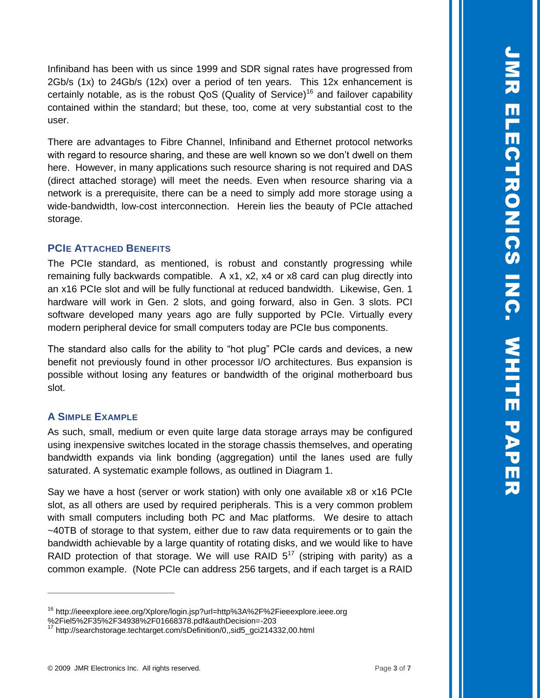Infiniband has been with us since 1999 and SDR signal rates have progressed from 2Gb/s (1x) to 24Gb/s (12x) over a period of ten years. This 12x enhancement is certainly notable, as is the robust  $QoS$  (Quality of Service)<sup>16</sup> and failover capability contained within the standard; but these, too, come at very substantial cost to the user.

There are advantages to Fibre Channel, Infiniband and Ethernet protocol networks with regard to resource sharing, and these are well known so we don't dwell on them here. However, in many applications such resource sharing is not required and DAS (direct attached storage) will meet the needs. Even when resource sharing via a network is a prerequisite, there can be a need to simply add more storage using a wide-bandwidth, low-cost interconnection. Herein lies the beauty of PCIe attached storage.

## **PCIE ATTACHED BENEFITS**

The PCIe standard, as mentioned, is robust and constantly progressing while remaining fully backwards compatible. A x1, x2, x4 or x8 card can plug directly into an x16 PCIe slot and will be fully functional at reduced bandwidth. Likewise, Gen. 1 hardware will work in Gen. 2 slots, and going forward, also in Gen. 3 slots. PCI software developed many years ago are fully supported by PCIe. Virtually every modern peripheral device for small computers today are PCIe bus components.

The standard also calls for the ability to "hot plug" PCIe cards and devices, a new benefit not previously found in other processor I/O architectures. Bus expansion is possible without losing any features or bandwidth of the original motherboard bus slot.

#### **A SIMPLE EXAMPLE**

 $\overline{a}$ 

As such, small, medium or even quite large data storage arrays may be configured using inexpensive switches located in the storage chassis themselves, and operating bandwidth expands via link bonding (aggregation) until the lanes used are fully saturated. A systematic example follows, as outlined in Diagram 1.

Say we have a host (server or work station) with only one available x8 or x16 PCIe slot, as all others are used by required peripherals. This is a very common problem with small computers including both PC and Mac platforms. We desire to attach ~40TB of storage to that system, either due to raw data requirements or to gain the bandwidth achievable by a large quantity of rotating disks, and we would like to have RAID protection of that storage. We will use RAID  $5^{17}$  (striping with parity) as a common example. (Note PCIe can address 256 targets, and if each target is a RAID

<sup>&</sup>lt;sup>16</sup> http://ieeexplore.ieee.org/Xplore/login.jsp?url=http%3A%2F%2Fieeexplore.ieee.org

<sup>%2</sup>Fiel5%2F35%2F34938%2F01668378.pdf&authDecision=-203

<sup>17</sup> http://searchstorage.techtarget.com/sDefinition/0,,sid5\_gci214332,00.html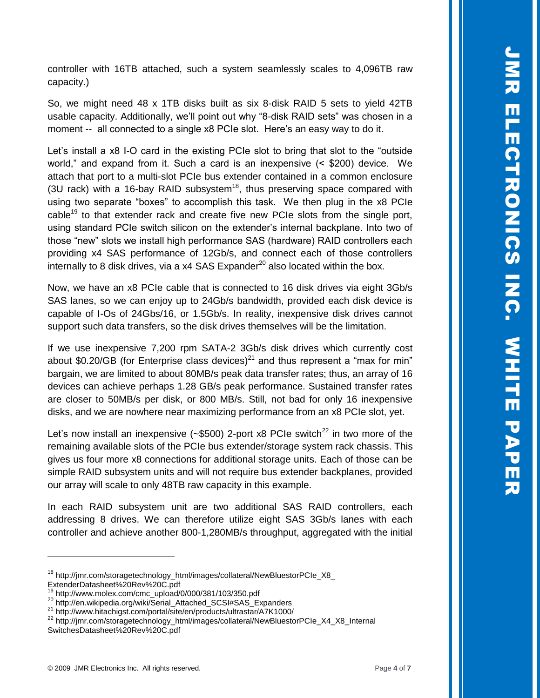controller with 16TB attached, such a system seamlessly scales to 4,096TB raw capacity.)

So, we might need 48 x 1TB disks built as six 8-disk RAID 5 sets to yield 42TB usable capacity. Additionally, we'll point out why "8-disk RAID sets" was chosen in a moment -- all connected to a single x8 PCIe slot. Here's an easy way to do it.

Let's install a x8 I-O card in the existing PCIe slot to bring that slot to the "outside world," and expand from it. Such a card is an inexpensive (< \$200) device. We attach that port to a multi-slot PCIe bus extender contained in a common enclosure (3U rack) with a 16-bay RAID subsystem<sup>18</sup>, thus preserving space compared with using two separate "boxes" to accomplish this task. We then plug in the x8 PCIe cable<sup>19</sup> to that extender rack and create five new PCIe slots from the single port, using standard PCIe switch silicon on the extender's internal backplane. Into two of those "new" slots we install high performance SAS (hardware) RAID controllers each providing x4 SAS performance of 12Gb/s, and connect each of those controllers internally to 8 disk drives, via a  $x4$  SAS Expander<sup>20</sup> also located within the box.

Now, we have an x8 PCIe cable that is connected to 16 disk drives via eight 3Gb/s SAS lanes, so we can enjoy up to 24Gb/s bandwidth, provided each disk device is capable of I-Os of 24Gbs/16, or 1.5Gb/s. In reality, inexpensive disk drives cannot support such data transfers, so the disk drives themselves will be the limitation.

If we use inexpensive 7,200 rpm SATA-2 3Gb/s disk drives which currently cost about \$0.20/GB (for Enterprise class devices)<sup>21</sup> and thus represent a "max for min" bargain, we are limited to about 80MB/s peak data transfer rates; thus, an array of 16 devices can achieve perhaps 1.28 GB/s peak performance. Sustained transfer rates are closer to 50MB/s per disk, or 800 MB/s. Still, not bad for only 16 inexpensive disks, and we are nowhere near maximizing performance from an x8 PCIe slot, yet.

Let's now install an inexpensive  $(*\$500)$  2-port x8 PCIe switch<sup>22</sup> in two more of the remaining available slots of the PCIe bus extender/storage system rack chassis. This gives us four more x8 connections for additional storage units. Each of those can be simple RAID subsystem units and will not require bus extender backplanes, provided our array will scale to only 48TB raw capacity in this example.

In each RAID subsystem unit are two additional SAS RAID controllers, each addressing 8 drives. We can therefore utilize eight SAS 3Gb/s lanes with each controller and achieve another 800-1,280MB/s throughput, aggregated with the initial

<sup>&</sup>lt;sup>18</sup> http://jmr.com/storagetechnology\_html/images/collateral/NewBluestorPCIe\_X8\_

ExtenderDatasheet%20Rev%20C.pdf http://www.molex.com/cmc\_upload/0/000/381/103/350.pdf

<sup>20</sup> http://en.wikipedia.org/wiki/Serial\_Attached\_SCSI#SAS\_Expanders

<sup>21</sup> http://www.hitachigst.com/portal/site/en/products/ultrastar/A7K1000/

<sup>22</sup> http://jmr.com/storagetechnology\_html/images/collateral/NewBluestorPCIe\_X4\_X8\_Internal SwitchesDatasheet%20Rev%20C.pdf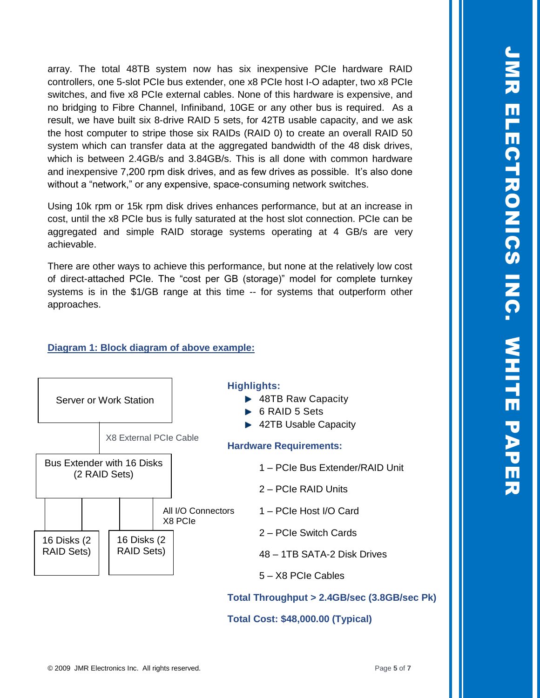JMR ELECTRONICS INC. ELECTRONICS ING. **WHITE PAPE** WHITE PAPER

array. The total 48TB system now has six inexpensive PCIe hardware RAID controllers, one 5-slot PCIe bus extender, one x8 PCIe host I-O adapter, two x8 PCIe switches, and five x8 PCIe external cables. None of this hardware is expensive, and no bridging to Fibre Channel, Infiniband, 10GE or any other bus is required. As a result, we have built six 8-drive RAID 5 sets, for 42TB usable capacity, and we ask the host computer to stripe those six RAIDs (RAID 0) to create an overall RAID 50 system which can transfer data at the aggregated bandwidth of the 48 disk drives, which is between 2.4GB/s and 3.84GB/s. This is all done with common hardware and inexpensive 7,200 rpm disk drives, and as few drives as possible. It's also done without a "network," or any expensive, space-consuming network switches.

Using 10k rpm or 15k rpm disk drives enhances performance, but at an increase in cost, until the x8 PCIe bus is fully saturated at the host slot connection. PCIe can be aggregated and simple RAID storage systems operating at 4 GB/s are very achievable.

There are other ways to achieve this performance, but none at the relatively low cost of direct-attached PCIe. The "cost per GB (storage)" model for complete turnkey systems is in the \$1/GB range at this time -- for systems that outperform other approaches.

# **Diagram 1: Block diagram of above example:**

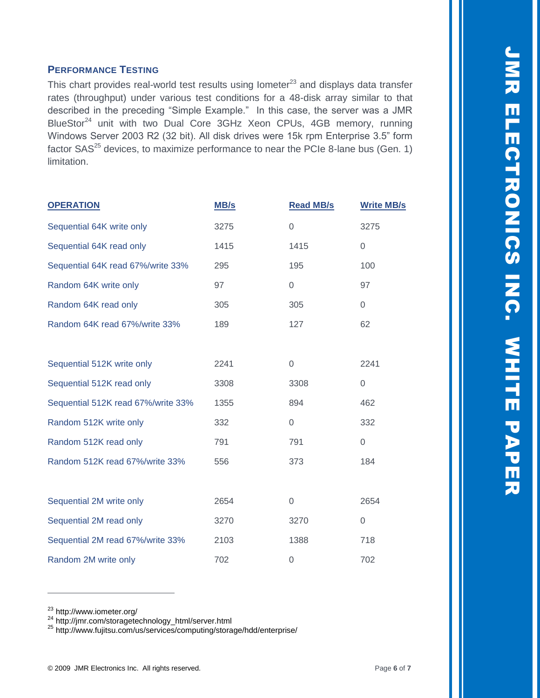## **PERFORMANCE TESTING**

This chart provides real-world test results using lometer $^{23}$  and displays data transfer rates (throughput) under various test conditions for a 48-disk array similar to that described in the preceding "Simple Example." In this case, the server was a JMR BlueStor<sup>24</sup> unit with two Dual Core 3GHz Xeon CPUs, 4GB memory, running Windows Server 2003 R2 (32 bit). All disk drives were 15k rpm Enterprise 3.5" form factor  $SAS^{25}$  devices, to maximize performance to near the PCIe 8-lane bus (Gen. 1) limitation.

| <b>OPERATION</b>                   | <b>MB/s</b> | <b>Read MB/s</b> | <b>Write MB/s</b>   |
|------------------------------------|-------------|------------------|---------------------|
| Sequential 64K write only          | 3275        | $\overline{0}$   | 3275                |
| Sequential 64K read only           | 1415        | 1415             | 0                   |
| Sequential 64K read 67%/write 33%  | 295         | 195              | 100                 |
| Random 64K write only              | 97          | $\overline{0}$   | 97                  |
| Random 64K read only               | 305         | 305              | $\Omega$            |
| Random 64K read 67%/write 33%      | 189         | 127              | 62                  |
|                                    |             |                  |                     |
| Sequential 512K write only         | 2241        | $\mathbf 0$      | 2241                |
| Sequential 512K read only          | 3308        | 3308             | $\mathsf{O}\xspace$ |
| Sequential 512K read 67%/write 33% | 1355        | 894              | 462                 |
| Random 512K write only             | 332         | $\boldsymbol{0}$ | 332                 |
| Random 512K read only              | 791         | 791              | 0                   |
| Random 512K read 67%/write 33%     | 556         | 373              | 184                 |
|                                    |             |                  |                     |
| Sequential 2M write only           | 2654        | $\mathbf 0$      | 2654                |
| Sequential 2M read only            | 3270        | 3270             | 0                   |
| Sequential 2M read 67%/write 33%   | 2103        | 1388             | 718                 |
| Random 2M write only               | 702         | 0                | 702                 |

<sup>23</sup> http://www.iometer.org/

<sup>&</sup>lt;sup>24</sup> http://jmr.com/storagetechnology\_html/server.html

<sup>25</sup> http://www.fujitsu.com/us/services/computing/storage/hdd/enterprise/